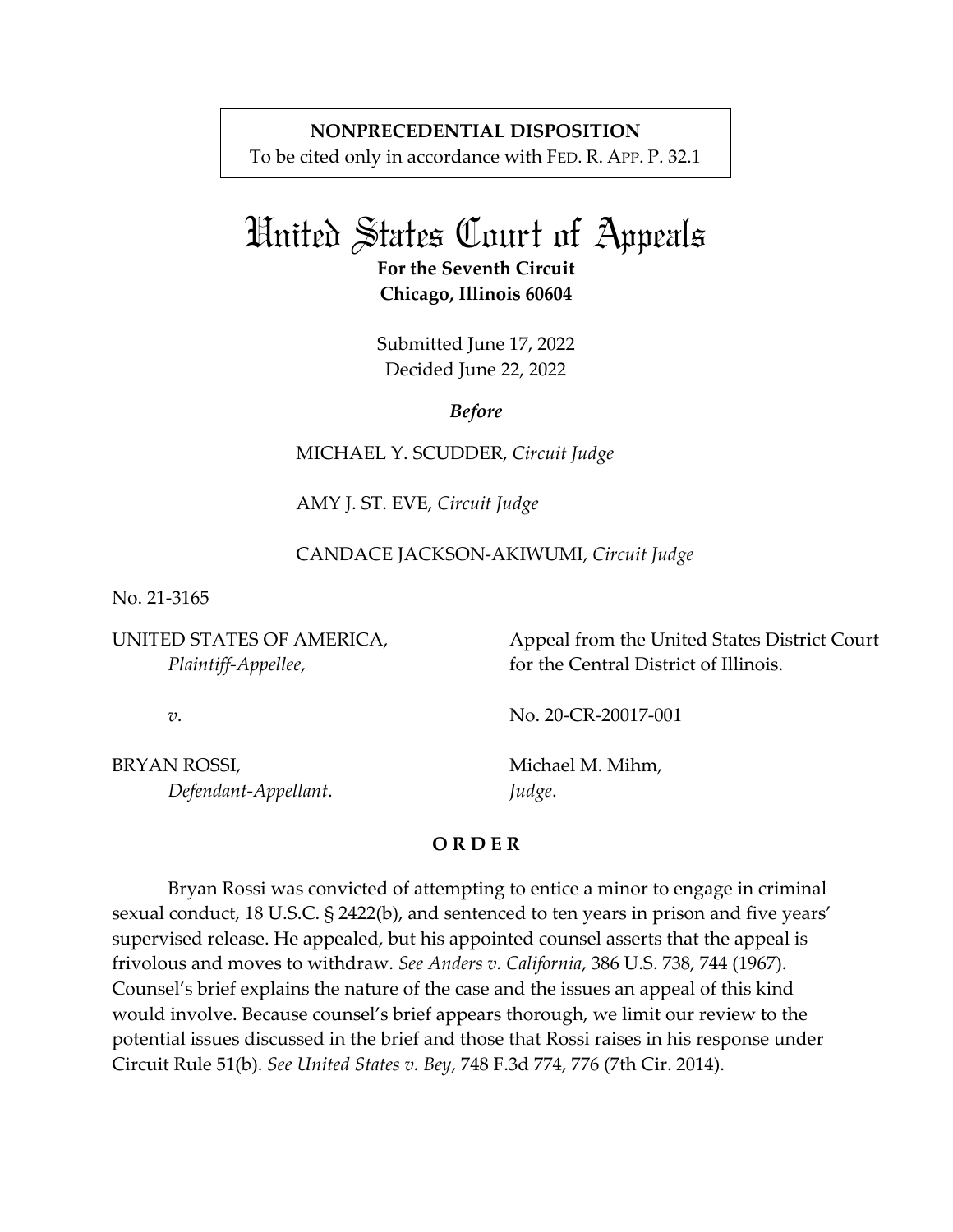## **NONPRECEDENTIAL DISPOSITION**

To be cited only in accordance with FED. R. APP. P. 32.1

## United States Court of Appeals

**For the Seventh Circuit Chicago, Illinois 60604**

Submitted June 17, 2022 Decided June 22, 2022

*Before*

MICHAEL Y. SCUDDER, *Circuit Judge*

AMY J. ST. EVE, *Circuit Judge*

CANDACE JACKSON-AKIWUMI, *Circuit Judge*

No. 21-3165

UNITED STATES OF AMERICA, *Plaintiff-Appellee*,

Appeal from the United States District Court for the Central District of Illinois.

*v*.

No. 20-CR-20017-001

BRYAN ROSSI, *Defendant-Appellant*. Michael M. Mihm, *Judge*.

## **O R D E R**

Bryan Rossi was convicted of attempting to entice a minor to engage in criminal sexual conduct, 18 U.S.C. § 2422(b), and sentenced to ten years in prison and five years' supervised release. He appealed, but his appointed counsel asserts that the appeal is frivolous and moves to withdraw. *See Anders v. California*, 386 U.S. 738, 744 (1967). Counsel's brief explains the nature of the case and the issues an appeal of this kind would involve. Because counsel's brief appears thorough, we limit our review to the potential issues discussed in the brief and those that Rossi raises in his response under Circuit Rule 51(b). *See United States v. Bey*, 748 F.3d 774, 776 (7th Cir. 2014).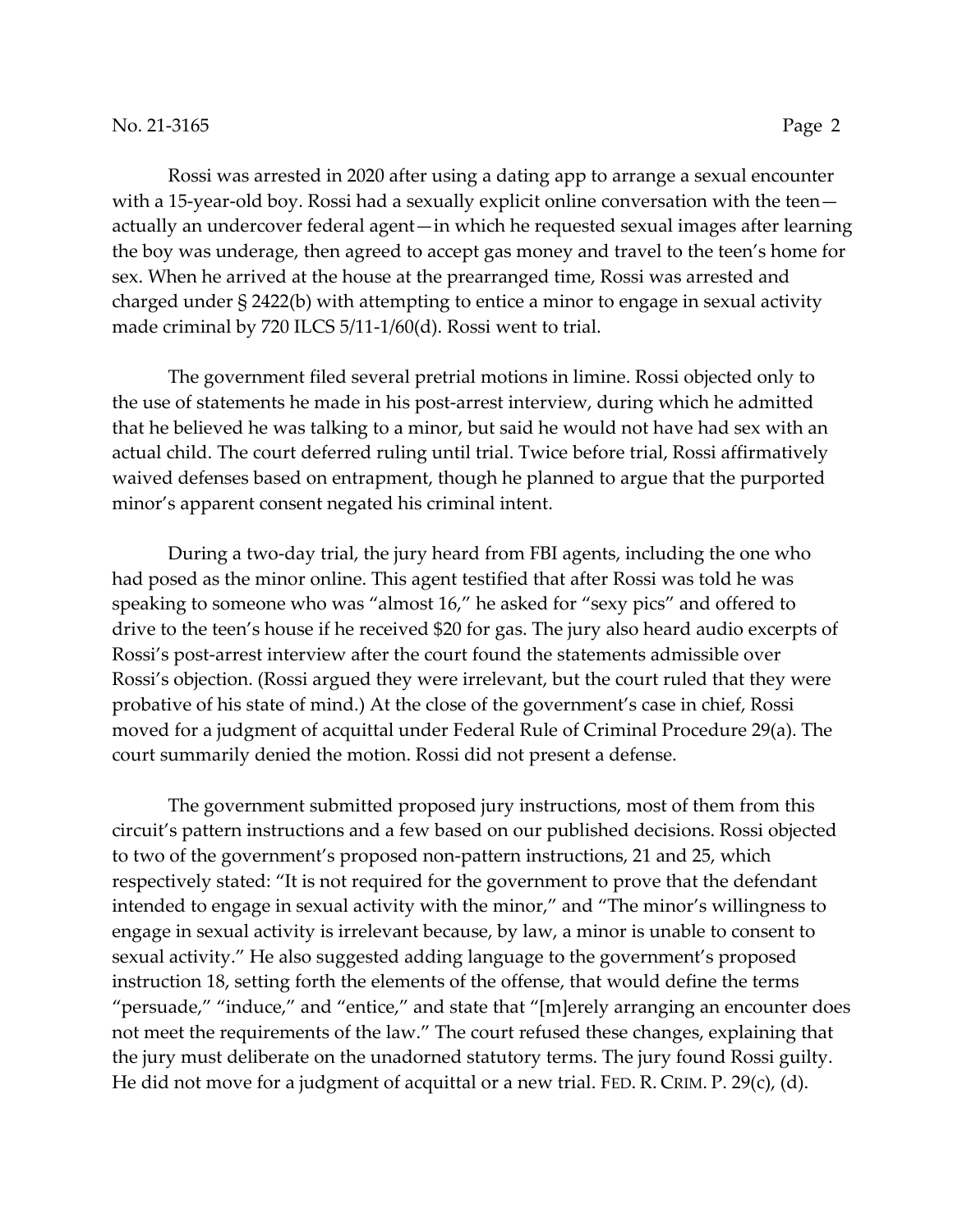Rossi was arrested in 2020 after using a dating app to arrange a sexual encounter with a 15-year-old boy. Rossi had a sexually explicit online conversation with the teen actually an undercover federal agent—in which he requested sexual images after learning the boy was underage, then agreed to accept gas money and travel to the teen's home for sex. When he arrived at the house at the prearranged time, Rossi was arrested and charged under § 2422(b) with attempting to entice a minor to engage in sexual activity made criminal by 720 ILCS 5/11-1/60(d). Rossi went to trial.

The government filed several pretrial motions in limine. Rossi objected only to the use of statements he made in his post-arrest interview, during which he admitted that he believed he was talking to a minor, but said he would not have had sex with an actual child. The court deferred ruling until trial. Twice before trial, Rossi affirmatively waived defenses based on entrapment, though he planned to argue that the purported minor's apparent consent negated his criminal intent.

During a two-day trial, the jury heard from FBI agents, including the one who had posed as the minor online. This agent testified that after Rossi was told he was speaking to someone who was "almost 16," he asked for "sexy pics" and offered to drive to the teen's house if he received \$20 for gas. The jury also heard audio excerpts of Rossi's post-arrest interview after the court found the statements admissible over Rossi's objection. (Rossi argued they were irrelevant, but the court ruled that they were probative of his state of mind.) At the close of the government's case in chief, Rossi moved for a judgment of acquittal under Federal Rule of Criminal Procedure 29(a). The court summarily denied the motion. Rossi did not present a defense.

The government submitted proposed jury instructions, most of them from this circuit's pattern instructions and a few based on our published decisions. Rossi objected to two of the government's proposed non-pattern instructions, 21 and 25, which respectively stated: "It is not required for the government to prove that the defendant intended to engage in sexual activity with the minor," and "The minor's willingness to engage in sexual activity is irrelevant because, by law, a minor is unable to consent to sexual activity." He also suggested adding language to the government's proposed instruction 18, setting forth the elements of the offense, that would define the terms "persuade," "induce," and "entice," and state that "[m]erely arranging an encounter does not meet the requirements of the law." The court refused these changes, explaining that the jury must deliberate on the unadorned statutory terms. The jury found Rossi guilty. He did not move for a judgment of acquittal or a new trial. FED. R. CRIM. P. 29(c), (d).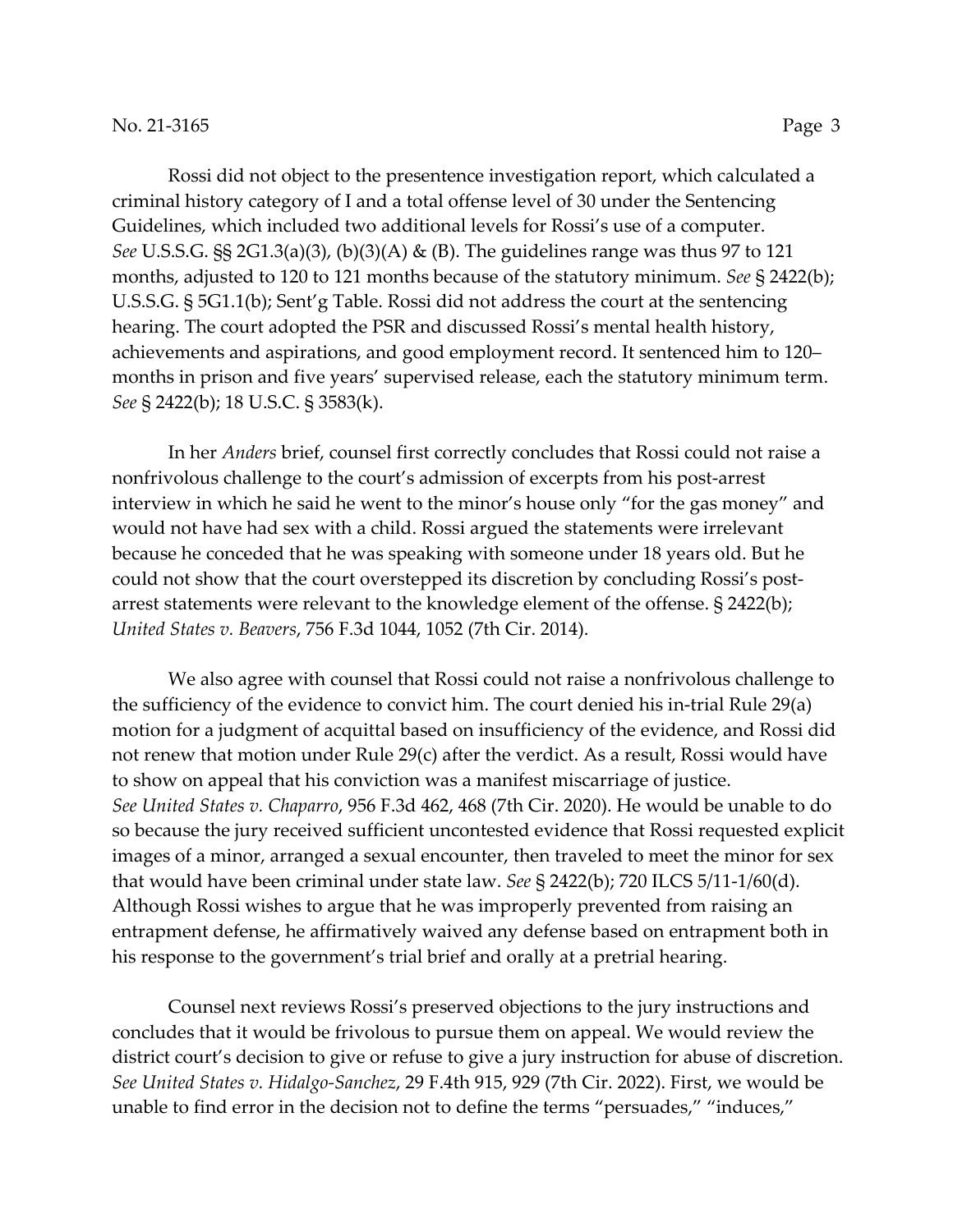Rossi did not object to the presentence investigation report, which calculated a criminal history category of I and a total offense level of 30 under the Sentencing Guidelines, which included two additional levels for Rossi's use of a computer. *See* U.S.S.G. §§ 2G1.3(a)(3), (b)(3)(A) & (B). The guidelines range was thus 97 to 121 months, adjusted to 120 to 121 months because of the statutory minimum. *See* § 2422(b); U.S.S.G. § 5G1.1(b); Sent'g Table. Rossi did not address the court at the sentencing hearing. The court adopted the PSR and discussed Rossi's mental health history, achievements and aspirations, and good employment record. It sentenced him to 120– months in prison and five years' supervised release, each the statutory minimum term. *See* § 2422(b); 18 U.S.C. § 3583(k).

In her *Anders* brief, counsel first correctly concludes that Rossi could not raise a nonfrivolous challenge to the court's admission of excerpts from his post-arrest interview in which he said he went to the minor's house only "for the gas money" and would not have had sex with a child. Rossi argued the statements were irrelevant because he conceded that he was speaking with someone under 18 years old. But he could not show that the court overstepped its discretion by concluding Rossi's postarrest statements were relevant to the knowledge element of the offense. § 2422(b); *United States v. Beavers*, 756 F.3d 1044, 1052 (7th Cir. 2014).

We also agree with counsel that Rossi could not raise a nonfrivolous challenge to the sufficiency of the evidence to convict him. The court denied his in-trial Rule 29(a) motion for a judgment of acquittal based on insufficiency of the evidence, and Rossi did not renew that motion under Rule 29(c) after the verdict. As a result, Rossi would have to show on appeal that his conviction was a manifest miscarriage of justice. *See United States v. Chaparro*, 956 F.3d 462, 468 (7th Cir. 2020). He would be unable to do so because the jury received sufficient uncontested evidence that Rossi requested explicit images of a minor, arranged a sexual encounter, then traveled to meet the minor for sex that would have been criminal under state law. *See* § 2422(b); 720 ILCS 5/11-1/60(d). Although Rossi wishes to argue that he was improperly prevented from raising an entrapment defense, he affirmatively waived any defense based on entrapment both in his response to the government's trial brief and orally at a pretrial hearing.

Counsel next reviews Rossi's preserved objections to the jury instructions and concludes that it would be frivolous to pursue them on appeal. We would review the district court's decision to give or refuse to give a jury instruction for abuse of discretion. *See United States v. Hidalgo-Sanchez*, 29 F.4th 915, 929 (7th Cir. 2022). First, we would be unable to find error in the decision not to define the terms "persuades," "induces,"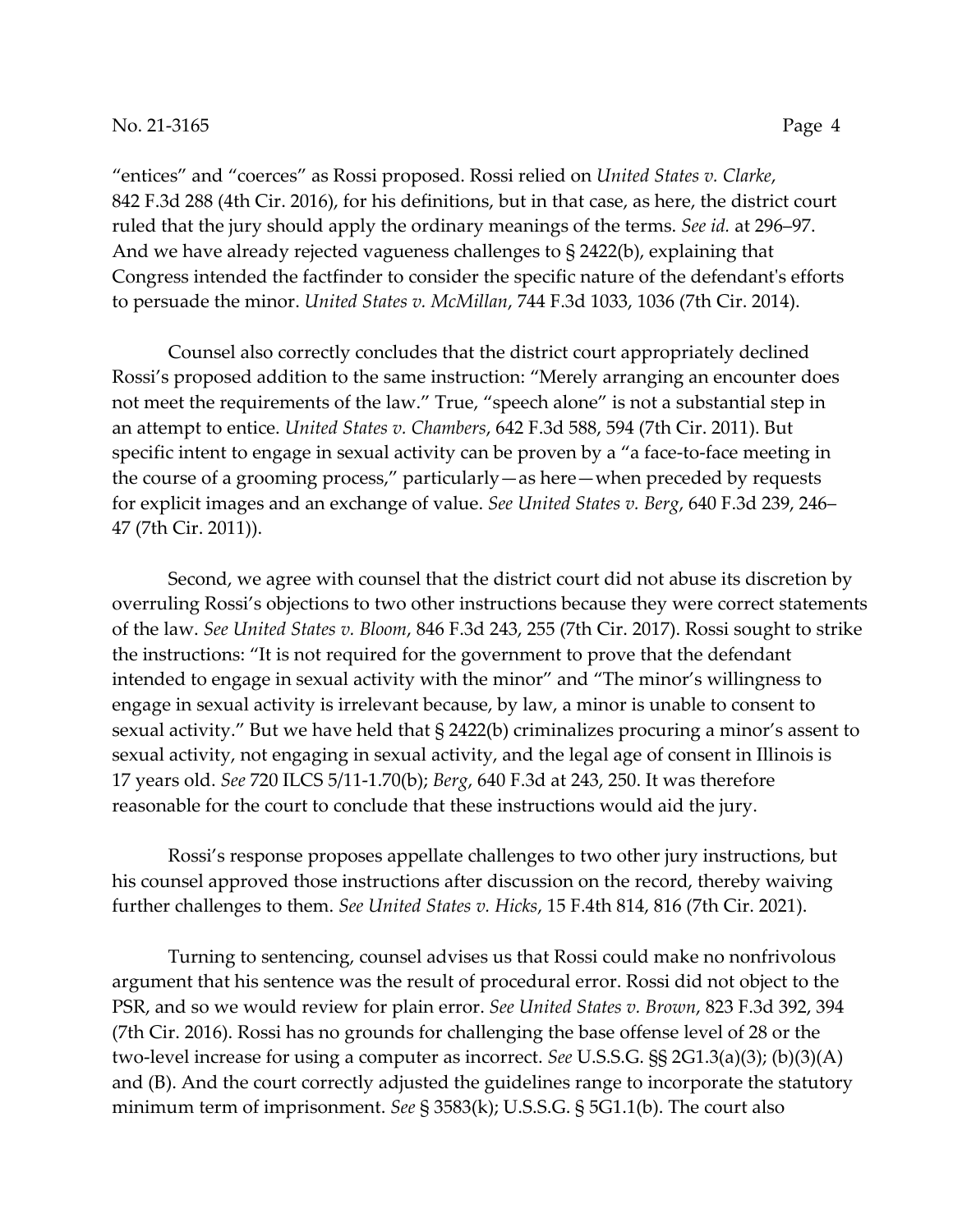"entices" and "coerces" as Rossi proposed. Rossi relied on *United States v. Clarke*, 842 F.3d 288 (4th Cir. 2016), for his definitions, but in that case, as here, the district court ruled that the jury should apply the ordinary meanings of the terms. *See id.* at 296–97. And we have already rejected vagueness challenges to § 2422(b), explaining that Congress intended the factfinder to consider the specific nature of the defendant's efforts to persuade the minor. *United States v. McMillan*, 744 F.3d 1033, 1036 (7th Cir. 2014).

Counsel also correctly concludes that the district court appropriately declined Rossi's proposed addition to the same instruction: "Merely arranging an encounter does not meet the requirements of the law." True, "speech alone" is not a substantial step in an attempt to entice. *United States v. Chambers*, 642 F.3d 588, 594 (7th Cir. 2011). But specific intent to engage in sexual activity can be proven by a "a face-to-face meeting in the course of a grooming process," particularly—as here—when preceded by requests for explicit images and an exchange of value. *See United States v. Berg*, 640 F.3d 239, 246– 47 (7th Cir. 2011)).

Second, we agree with counsel that the district court did not abuse its discretion by overruling Rossi's objections to two other instructions because they were correct statements of the law. *See United States v. Bloom*, 846 F.3d 243, 255 (7th Cir. 2017). Rossi sought to strike the instructions: "It is not required for the government to prove that the defendant intended to engage in sexual activity with the minor" and "The minor's willingness to engage in sexual activity is irrelevant because, by law, a minor is unable to consent to sexual activity." But we have held that § 2422(b) criminalizes procuring a minor's assent to sexual activity, not engaging in sexual activity, and the legal age of consent in Illinois is 17 years old. *See* 720 ILCS 5/11-1.70(b); *Berg*, 640 F.3d at 243, 250. It was therefore reasonable for the court to conclude that these instructions would aid the jury.

Rossi's response proposes appellate challenges to two other jury instructions, but his counsel approved those instructions after discussion on the record, thereby waiving further challenges to them. *See United States v. Hicks*, 15 F.4th 814, 816 (7th Cir. 2021).

Turning to sentencing, counsel advises us that Rossi could make no nonfrivolous argument that his sentence was the result of procedural error. Rossi did not object to the PSR, and so we would review for plain error. *See United States v. Brown*, 823 F.3d 392, 394 (7th Cir. 2016). Rossi has no grounds for challenging the base offense level of 28 or the two-level increase for using a computer as incorrect. *See* U.S.S.G. §§ 2G1.3(a)(3); (b)(3)(A) and (B). And the court correctly adjusted the guidelines range to incorporate the statutory minimum term of imprisonment. *See* § 3583(k); U.S.S.G. § 5G1.1(b). The court also